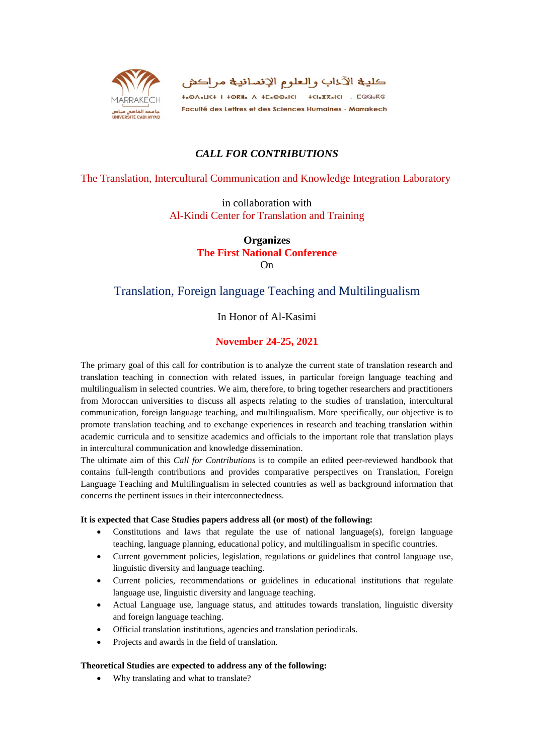

كلية الآداب والعلوم الإنسانية مراكش **+.OA.LE+ I +ORH. A +C.OO.KI +EI.X.KIEI . CQQ.RG** Faculté des Lettres et des Sciences Humaines - Marrakech

## *CALL FOR CONTRIBUTIONS*

### The Translation, Intercultural Communication and Knowledge Integration Laboratory

in collaboration with Al-Kindi Center for Translation and Training

> **Organizes The First National Conference** On

## Translation, Foreign language Teaching and Multilingualism

## In Honor of Al-Kasimi

## **November 24-25, 2021**

The primary goal of this call for contribution is to analyze the current state of translation research and translation teaching in connection with related issues, in particular foreign language teaching and multilingualism in selected countries. We aim, therefore, to bring together researchers and practitioners from Moroccan universities to discuss all aspects relating to the studies of translation, intercultural communication, foreign language teaching, and multilingualism. More specifically, our objective is to promote translation teaching and to exchange experiences in research and teaching translation within academic curricula and to sensitize academics and officials to the important role that translation plays in intercultural communication and knowledge dissemination.

The ultimate aim of this *Call for Contributions* is to compile an edited peer-reviewed handbook that contains full-length contributions and provides comparative perspectives on Translation, Foreign Language Teaching and Multilingualism in selected countries as well as background information that concerns the pertinent issues in their interconnectedness.

#### **It is expected that Case Studies papers address all (or most) of the following:**

- Constitutions and laws that regulate the use of national language $(s)$ , foreign language teaching, language planning, educational policy, and multilingualism in specific countries.
- Current government policies, legislation, regulations or guidelines that control language use, linguistic diversity and language teaching.
- Current policies, recommendations or guidelines in educational institutions that regulate language use, linguistic diversity and language teaching.
- Actual Language use, language status, and attitudes towards translation, linguistic diversity and foreign language teaching.
- Official translation institutions, agencies and translation periodicals.
- Projects and awards in the field of translation.

### **Theoretical Studies are expected to address any of the following:**

Why translating and what to translate?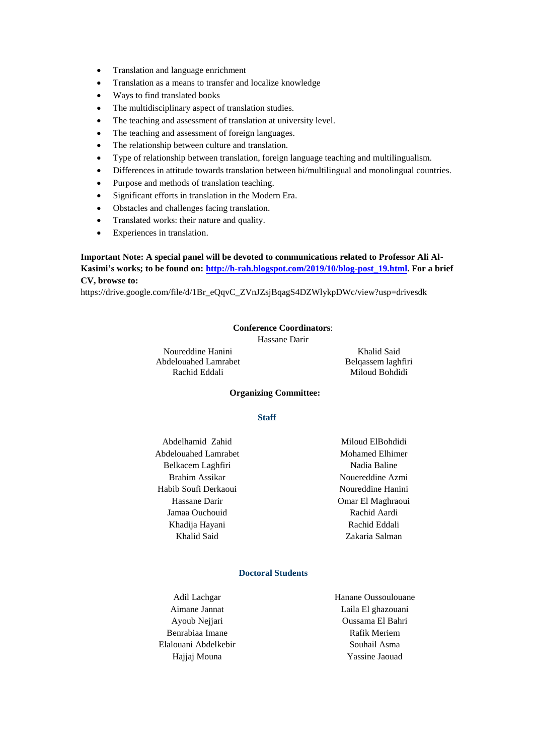- Translation and language enrichment
- Translation as a means to transfer and localize knowledge
- Ways to find translated books
- The multidisciplinary aspect of translation studies.
- The teaching and assessment of translation at university level.
- The teaching and assessment of foreign languages.
- The relationship between culture and translation.
- Type of relationship between translation, foreign language teaching and multilingualism.
- Differences in attitude towards translation between bi/multilingual and monolingual countries.
- Purpose and methods of translation teaching.
- Significant efforts in translation in the Modern Era.
- Obstacles and challenges facing translation.
- Translated works: their nature and quality.
- Experiences in translation.

### **Important Note: A special panel will be devoted to communications related to Professor Ali Al-Kasimi's works; to be found on: [http://h-rah.blogspot.com/2019/10/blog-post\\_19.html.](http://h-rah.blogspot.com/2019/10/blog-post_19.html) For a brief CV, browse to:**

https://drive.google.com/file/d/1Br\_eQqvC\_ZVnJZsjBqagS4DZWlykpDWc/view?usp=drivesdk

#### **Conference Coordinators**:

Hassane Darir

Noureddine Hanini Abdelouahed Lamrabet Rachid Eddali

Khalid Said Belqassem laghfiri Miloud Bohdidi

#### **Organizing Committee:**

#### **Staff**

Abdelhamid Zahid Abdelouahed Lamrabet Belkacem Laghfiri Brahim Assikar Habib Soufi Derkaoui Hassane Darir Jamaa Ouchouid Khadija Hayani Khalid Said

Miloud ElBohdidi Mohamed Elhimer Nadia Baline Nouereddine Azmi Noureddine Hanini Omar El Maghraoui Rachid Aardi Rachid Eddali Zakaria Salman

#### **Doctoral Students**

Adil Lachgar Aimane Jannat Ayoub Nejjari Benrabiaa Imane Elalouani Abdelkebir Hajjaj Mouna

Hanane Oussoulouane Laila El ghazouani Oussama El Bahri Rafik Meriem Souhail Asma Yassine Jaouad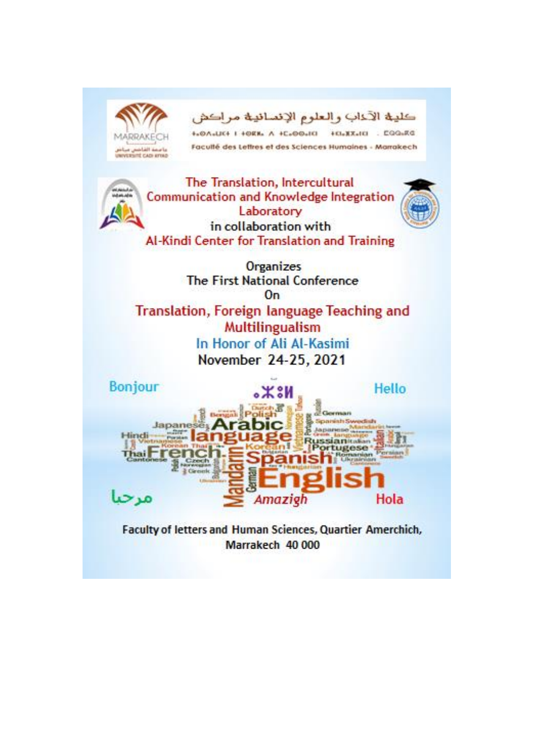

Marrakech 40 000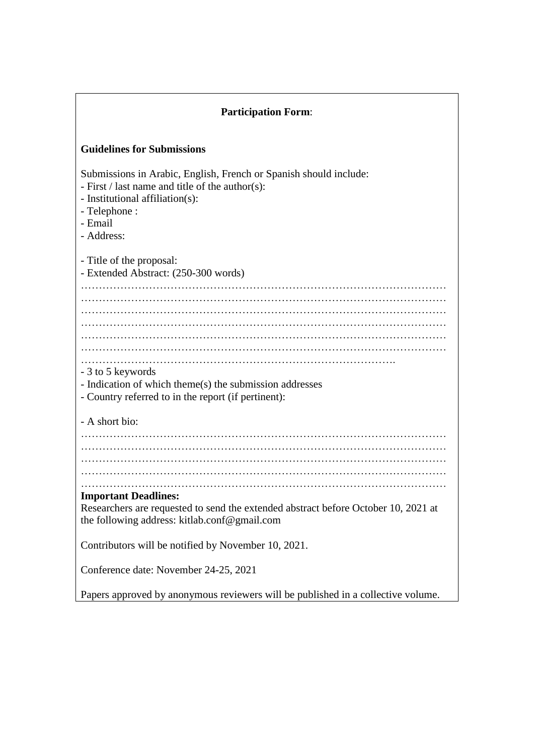| <b>Participation Form:</b>                                                                                                                                                                             |  |  |
|--------------------------------------------------------------------------------------------------------------------------------------------------------------------------------------------------------|--|--|
| <b>Guidelines for Submissions</b>                                                                                                                                                                      |  |  |
| Submissions in Arabic, English, French or Spanish should include:<br>- First $\ell$ last name and title of the author(s):<br>- Institutional affiliation(s):<br>- Telephone :<br>- Email<br>- Address: |  |  |
| - Title of the proposal:<br>- Extended Abstract: (250-300 words)                                                                                                                                       |  |  |
| .                                                                                                                                                                                                      |  |  |
|                                                                                                                                                                                                        |  |  |
| - 3 to 5 keywords<br>- Indication of which theme(s) the submission addresses<br>- Country referred to in the report (if pertinent):                                                                    |  |  |
| - A short bio:                                                                                                                                                                                         |  |  |
|                                                                                                                                                                                                        |  |  |
| <b>Important Deadlines:</b><br>Researchers are requested to send the extended abstract before October 10, 2021 at<br>the following address: kitlab.conf@gmail.com                                      |  |  |
| Contributors will be notified by November 10, 2021.                                                                                                                                                    |  |  |
| Conference date: November 24-25, 2021                                                                                                                                                                  |  |  |
| Papers approved by anonymous reviewers will be published in a collective volume.                                                                                                                       |  |  |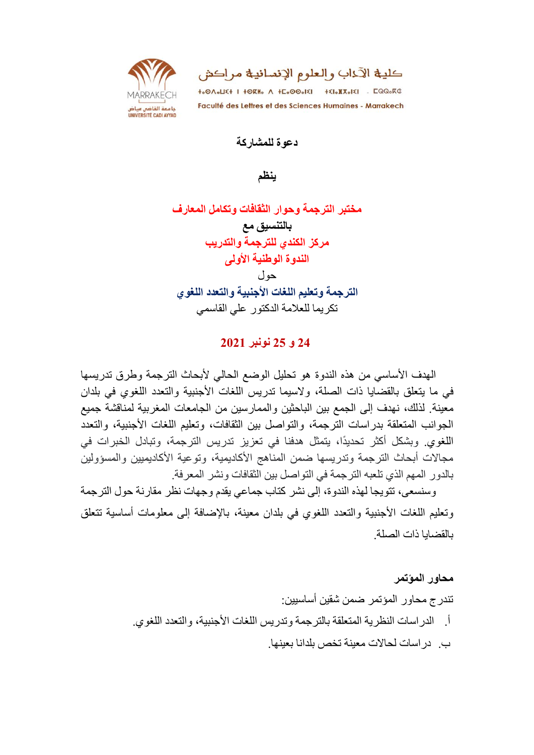

كليـــة الآخاب والـعلوم الإنســانيـــة مر اكش

+.0A.LE+ I +ORM. A +C.00.EI +EI.X.EI . CQQ.RG Faculté des Lettres et des Sciences Humaines - Marrakech

**دعىة نهمشاركت**

**ٌنظم**

**مختبز انتزجمت وحىار انثقافاث وتكامم انمعارف بانتنسٍق مع مزكز انكنذي نهتزجمت وانتذرٌب اننذوة انىطنٍت األونى**  حو ل **انتزجمت وتعهٍم انهغاث األجنبٍت وانتعذد انهغىي** تكر بما للعلامة الدكتور على القاسمي

# **42 و 42 نىنبز 4242**

الهدف الأساسي من هذه الندوة هو تحليل الوضع الحالي لأبحاث الترجمة وطرق تدريسها في ما يتعلّق بالقضايا ذات الصلّة، ولاسيما تدريس اللّغات الأجنبية والتعدد اللّغوي في بلدان معينة ِ لذلك، نهدف إلى الجمع بين الباحثين والممارسين من الجامعات المغربية لمناقشة جميع الجوانب المتعلقة بدر اسات الترجمة، والتواصل بين الثقافات، وتعليم اللغات الأجنبية، والتعدد اللغوي. وبشكل أكثر تحديدًا، يتمثّل هدفنا في تعزيز تدريس الترجمة، وتبادل الخبرات في مجالات أبحاث الترجمة وتدريسها ضمن المناهج الأكاديمية، وتوعية الأكاديميين والمسؤولين بالدور المهم الذي تلعبه التر جمة في التو اصل بين الثقافات ونشر المعر فة.

وسنسعي، تتويجا لهذه الندوة، إلى نشر كتاب جماعي يقدم وجهات نظر مقارنة حول الترجمة وتعليم اللغات الأجنبية والتعدد اللغوي في بلدان معينة، بالإضافة إلى معلومات أساسية تتعلق بالقضابا ذات الصلة.

### **محاور انمؤتمز**

تندر ج محاور ِ المؤتمر ِ ضمن شقين أساسبين: أُ. الدراسات النظرية المتعلقة بالترجمة وتدريس اللغات الأجنبية، والتعدد اللغوي. ب. در اسات لحالات معينة تخص بلدانا بعينها.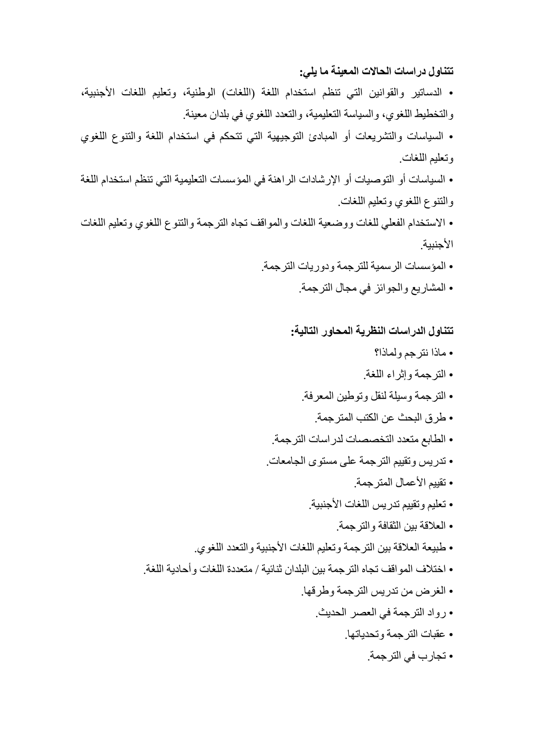## **تتناول دراساث انحاالث انمعٍنت ما ٌه:ً**

- الدساتير والقوانين التي تنظم استخدام اللغة (اللغات) الوطنية، وتعليم اللغات الأجنبية، والتخطيط اللغوي، والسياسة التعليمية، والتعدد اللغوي في بلدان معينة.
- السياسات والتشريعات أو المبادئ التوجيهية التي تتحكم في استخدام اللغة والتنوع اللغوي وتعليم اللغات.
- السياسات أو التوصيات أو الإرشادات الراهنة في المؤسسات التعليمية التي تنظم استخدام اللغة والنُّنوع اللُّغوي وتعليم اللُّغات.
- الاستخدام الفعلى للغات ووضعية اللغات والمواقف تجاه الترجمة والتنوع اللغوى وتعليم اللغات الأجنبية
	- المؤسسات الرسمية للترجمة ودور يات الترجمة.
		- المشاريع والجوائز في مجال الترجمة.

## **تتناول انذراساث اننظزٌت انمحاور انتانٍت:**

- ماذا نترجم ولِماذا؟
- الترجمة وإثراء اللغة.
- الترجمة وسيلة لنقل وتوطين المعرفة.
- طر ق البحث عن الكتب المتر جمة.
- الطابع متعدد التخصصات لدر اسات التر جمة.
- تدريس وتقييم الترجمة على مستوى الجامعات.
	- تقييم الأعمال المترجمة.
	- تعليم وتقييم تدريس اللغات الأجنبية.
	- العلاقة بين الثقافة و التر جمة.
- طبيعة العلاقة بين الترجمة وتعليم اللغات الأجنبية والتعدد اللغوي.
- اختلاف المواقف تجاه الترجمة بين البلدان ثنائية / متعددة اللغات وأحادية اللغة.
	- الغرض من تدريس الترجمة وطرقها.
		- رواد التر جمة في العصر الحديث.
			- عقبات الترجمة وتحدياتها.
				- تجارب في الترجمة.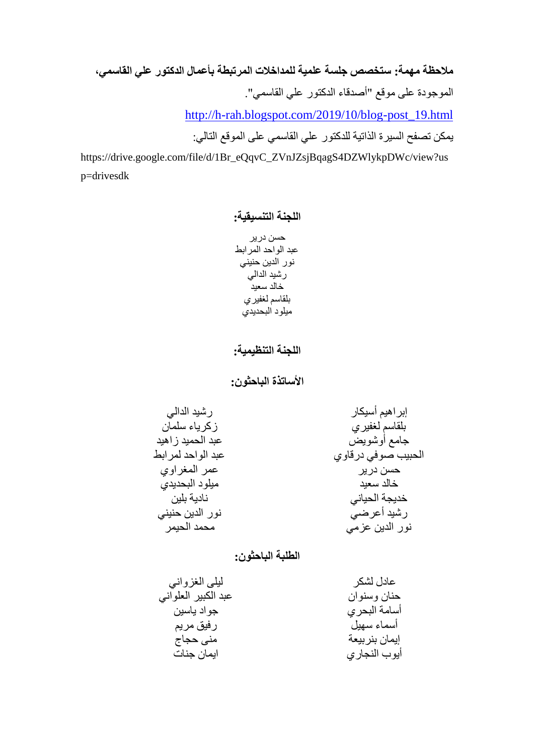**مالحظت مهمت: ستخصص جهست عهمٍت نهمذاخالث انمزتبطت بأعمال انذكتىر عهً انقاسم**،**ً** الموجودة على موقع "أصدقاء الدكتور على القاسمي". [http://h-rah.blogspot.com/2019/10/blog-post\\_19.html](http://h-rah.blogspot.com/2019/10/blog-post_19.html) يمكن تصفح السيرة الذاتية للدكتور علي القاسمي على الموقع التالي:

https://drive.google.com/file/d/1Br\_eQqvC\_ZVnJZsjBqagS4DZWlykpDWc/view?us p=drivesdk

**انهجنت انتنسٍقٍت:**

حسن در پر عبد الواحد المرابط نور الدين حنيني رشيد الدالي خالد سعيد بلقاسم لغفيري ميلو د البحديد*ي* 

**انهجنت انتنظٍمٍت:**

**األساتذة انباحثىن:**

| ر شيد الدالي       | إبراهيم أسيكار     |
|--------------------|--------------------|
| ز کر باء سلمان     | بلقاسم لغفيري      |
| عبد الحميد ز اهيد  | جامع أوشويض        |
| عبد الواحد لمر ابط | الحبيب صوفى درقاوي |
| عمر المغراوي       | حسن در پر          |
| ميلود البحديدى     | خالد سعيد          |
| نادبة بلبن         | خديجة الحياني      |
| نور الدين حنيني    | ر شيد أعرضي        |
| محمد الحيمر        | نور الدين عزمى     |

# **انطهبت انباحثىن:**

| ليلي الغزواني       | عادل لشكر      |
|---------------------|----------------|
| عبد الكبير العلواني | حنان وسنوان    |
| جواد ياسين          | أسامة البحري   |
| رفيق مريم           | أسماء سهيل     |
| منی حجاج            | إيمان بنر بيعة |
| ايمان جنات          | أيوب النجاري   |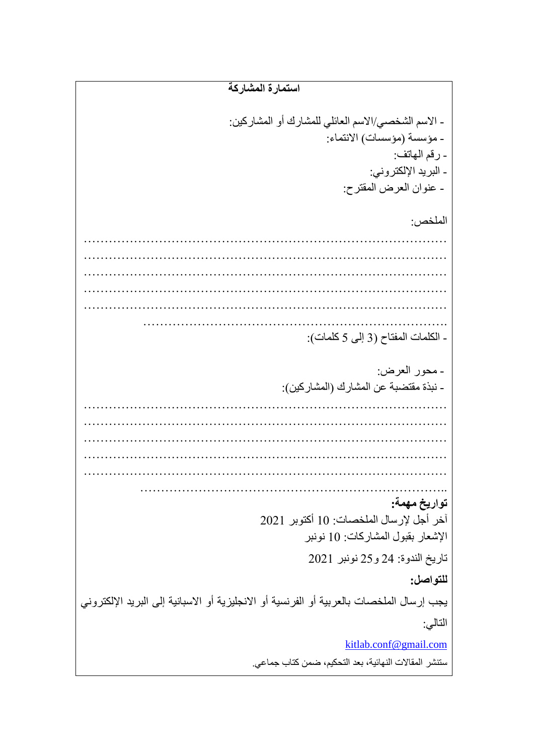**استمارة انمشاركت** - الاسم الشخصي/الاسم العائلي للمشارك أو المشاركين: - مؤسسة (مؤسسات) الانتماء: - رقم الهاتف: - البريد الإلكتروني: - عنوان العرض المقترح: الملخص: …………………………………………………………………………… …………………………………………………………………………… …………………………………………………………………………… …………………………………………………………………………… …………………………………………………………………………… ………………………………………………………………. - الكلمات المفتاح (3 إلى 5 كلمات): - محور العرض: - نبذة مقتضبة عن المشار ك (المشار كين): …………………………………………………………………………… …………………………………………………………………………… …………………………………………………………………………… …………………………………………………………………………… …………………………………………………………………………… ……………………………………………………………….. **تىارٌخ مهمت:** آخر أجل لإرسال الملخصات: 10 أكتوبر 2021 الإشعار بقبول المشاركات: 10 نونبر تاريخ الندوة: 24 و25 نونبر 2021 **نهتىاصم:** يجب إرسال الملخصات بالعربية أو الفرنسية أو الانجليزية أو الاسبانية إلى البريد الإلكتروني التالي: [kitlab.conf@gmail.com](mailto:kitlab.conf@gmail.com) ستنشر المقالات النهائية، بعد التحكيم، ضمن كتاب جماعي.